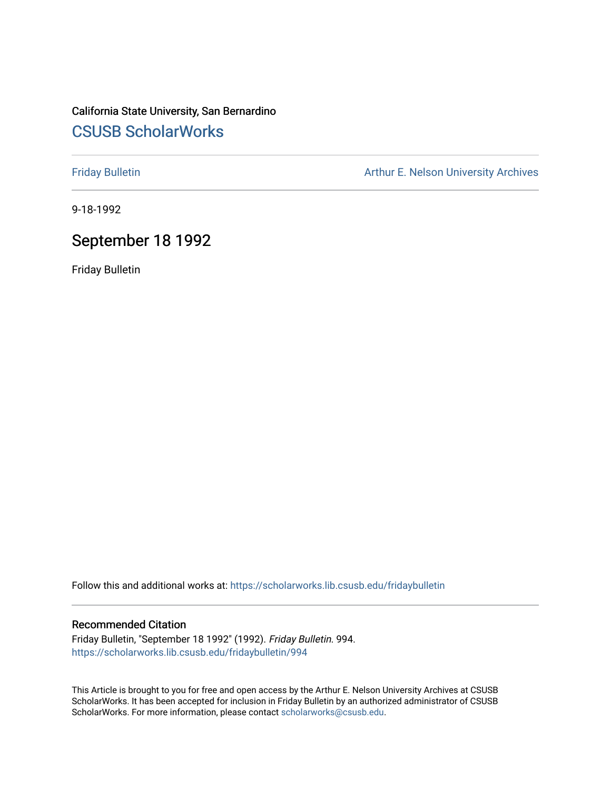## California State University, San Bernardino [CSUSB ScholarWorks](https://scholarworks.lib.csusb.edu/)

[Friday Bulletin](https://scholarworks.lib.csusb.edu/fridaybulletin) **Arthur E. Nelson University Archives** Arthur E. Nelson University Archives

9-18-1992

## September 18 1992

Friday Bulletin

Follow this and additional works at: [https://scholarworks.lib.csusb.edu/fridaybulletin](https://scholarworks.lib.csusb.edu/fridaybulletin?utm_source=scholarworks.lib.csusb.edu%2Ffridaybulletin%2F994&utm_medium=PDF&utm_campaign=PDFCoverPages)

#### Recommended Citation

Friday Bulletin, "September 18 1992" (1992). Friday Bulletin. 994. [https://scholarworks.lib.csusb.edu/fridaybulletin/994](https://scholarworks.lib.csusb.edu/fridaybulletin/994?utm_source=scholarworks.lib.csusb.edu%2Ffridaybulletin%2F994&utm_medium=PDF&utm_campaign=PDFCoverPages)

This Article is brought to you for free and open access by the Arthur E. Nelson University Archives at CSUSB ScholarWorks. It has been accepted for inclusion in Friday Bulletin by an authorized administrator of CSUSB ScholarWorks. For more information, please contact [scholarworks@csusb.edu.](mailto:scholarworks@csusb.edu)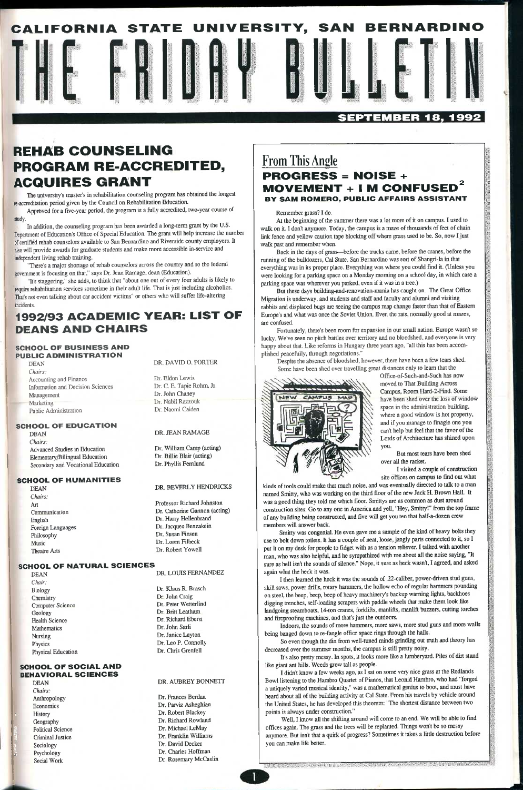

### **SEPTEMBER 18, 1992**

# **REHAB COUNSELING PROGRAM RE-ACCREDITED, ACQUIRES GRANT**

Approved for a five-year period, the program is a fully accredited, two-year course of study.

The university's master's in rehabilitation counseling program has obtained the longest re-accreditation period given by the Council on Rehabilitation Education.

In addition, the counseling program has been awarded a long-term grant by the U.S. Department of Education's Office of Special Education. The grant wUl help increase the number of certified rehab counselors available to San Bernardino and Riverside county employers. It also will provide awards for graduate students and make more accessible in-service and independent living rehab training.

"There's a major shortage of rehab counselors across the country and so the federal government is focusing on that," says Dr. Jean Ramage, dean (Education).

"It's staggering," she adds, to think that "about one out of every four adults is likely to require rehabilitation services sometime in their adult life. That is just including alcoholics. That's not even talking about car accident victims" or others who will suffer life-altering incidents.

## 1992/93 ACADEMIC YEAR: LIST OF DEANS AND CHAIRS

### SCHOOL OF BUSINESS AND PUBLIC ADMINISTRATION

Dr. Frances Berdan Dr. Parviz Asheghian Dr. Robert Blackey Dr. Richard Rowland Dr. Michael LeMay Dr. Franklin Williams Dr. David Decker Dr. Charles Hoffman Dr. Rosemary McCaslin

DEAN *Chairs:*  Accounting and Finance Information and Decision Sciences Management Marketing Public Administration

#### SCHOOL OF EDUCATION

DEAN *Chairs:*  Advanced Studies in Education Elementary/Bilingual Education Secondary and Vocational Education

#### SCHOOL OF HUMANITIES

DEAN *Chairs:*  Art Communication English Foreign Languages Philosophy Music Theatre Arts

SCHOOL OF NATURAL SCIENCES

DEAN *Chair:* 

Biology **Chemistry** Computer Science Geology Health Science Mathematics Nursing Physics Physical Education

#### SCHOOL OF SOCIAL AND BEHAVIORAL SCIENCES

DEAN *Chairs:*  Anthropology Economics **History** Geography Political Science **Criminal Justice** Sociology Psychology Social Work

### DR. DAVID 0. PORTER

Dr. Eldon Lewis Dr. C. E. Tapie Rohm, Jr. Dr. John Chaney Dr. Nabil Razzouk Dr. Naomi Caiden

#### DR. JEAN RAMAGE

Dr. William Camp (acting) Dr. Billie Blair (acting) Dr. Phyllis Femlimd

#### DR. BEVERLY HENDRICKS

Professor Richard Johnston Dr. Catherine Gannon (acting) Dr. Harry Hellenbrand Dr. Jacques Benzakein Dr. Susan Finsen Dr. Loren Filbeck Dr. Robert Yowell

DR. LOUIS FERNANDEZ

Dr. Klaus R. Brasch Dr. John Craig Dr. Peter Wetterlind Dr. Brin Leatham Dr. Richard Eberst Dr. John Sarli Dr. Janice Layton Dr. Leo P. Connolly Dr. Chris Grenfell

#### DR. AUBREY BONNETT

## **From This Angle**  PROGRESS = NOISE +  $MOVEMENT + I$  M CONFUSE BY SAM ROMERO, PUBLIC AFFAIRS ASSISTANT

#### Remember grass? I do.

At the beginning of the summer there was a lot more of it on campus. I used to walk on it. I don't anymore. Today, the campus is a maze of thousands of feet of chain link fence and yellow caution tape blocking off where grass used to be. So, now I just walk past and remember when.

Back in the days of grass—before the trucks came, before the cranes, before the running of the bulldozers, Cal State, San Bernardino was sort of Shangri-la in that everything was in its proper place. Everything was where you could find it. (Unless you were looking for a parking space on a Monday morning on a school day, in which case a parking space was wherever you parked, even if it was in a tree.)

But these days building-and-renovation-mania has caught on. The Great Office Migration is underway, and students and staff and faculty and alumni and visiting rabbits and displaced bugs are seeing the campus map change faster than that of Eastern Europe's and what was once the Soviet Union. Even the rats, normally good at mazes, are confused.

Fortunately, there's been room for expansion in our small nation. Europe wasn't so lucky. We've seen no pitch battles over territory and no bloodshed, and everyone is very happy about that. Like reforms in Hungary three years ago, "all this has been accomplished peacefully, through negotiations."

Despite the absence of bloodshed, however, there have been a few tears shed. Some have been shed over travelling great distances only to learn that the



Office-of-Such-and-Such has now moved to That Building Across Campus, Room Hard-2-Find. Some have been shed over the loss of window space in the administration building, where a good window is hot property, and if you manage to finagle one you can't help but feel that the favor of the Lords of Architecture has shined upon you.

But most tears have been shed over all the racket.

I visited a couple of construction site offices on campus to find out what

kinds of tools could make that much noise, and was eventually directed to talk to a man named Smitty, who was working on the third floor of the new Jack H. Brown Hall. It was a good thing they told me which floor. Smittys are as common as dust around constmction sites. Go to any one in America and yell, "Hey, Smitty!" from the top ftame of any building being constructed, and five will get you ten that half-a-dozen crew members will answer back.

Smitty was congenial. He even gave me a sample of the kind of heavy bolts they use to bolt down toilets. It has a couple of neat, loose, jangly parts connected to it, so I put it on my desk for people to fidget with as a tension reliever. I talked with another man, who was also helpful, and he sympathized with me about all the noise saying, "It sure as hell isn't the sounds of silence." Nope, it sure as heck wasn't, I agreed, and asked again what the heck it was.

I then leamed the heck it was the sounds of .22-caliber, power-driven stud guns,

skill saws, power drills, rotary hammers, the hollow echo of regular hammers pounding on steel, the beep, beep, beep of heavy machinery's backup warning lights, backhoes digging trenches, self-loading scrapers with paddle wheels that make them look lite landgoing steamboats, 14-ton cranes, forklifts, manlifts, manlift buzzers, cutting torches and fireproofing machines, and that's just the outdoors.

Indoors, the sounds of more hammers, more saws, more stud guns and more walls being banged down to re-fangle office space rings through the halls.

So even though the din from well-tuned minds grinding out truth and theory has decreased over the summer months, the campus is still pretty noisy.

It's also pretty messy. In spots, it looks more like a lumberyard. Piles of dirt stand lite giant ant hills. Weeds grow tall as people.

I didn't know a few weeks ago, as I sat on some very nice grass at the Redlands Bowl listening to the Hambro Quartet of Pianos, that Leonid Hambro, who had "forged a uniquely varied musical identity," was a mathematical genius to boot, and must have heard about all of the building activity at Cal State. From his travels by vehicle around the United States, he has developed this theorem: "The shortest distance between two points is always under construction."

Well, I know all the shifting around will come to an end. We will be able to find offices again. The grass and the trees will be replanted. Things won't be so messy anymore. But isn't that a quirk of progress? Sometimes it takes a little destruction before you can make life better.